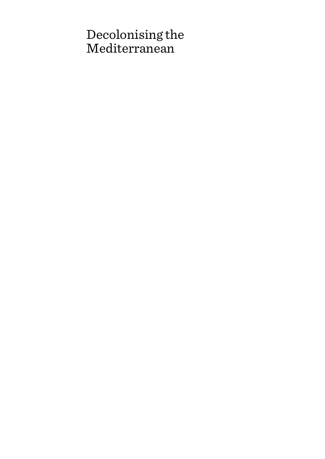# Decolonising the Mediterranean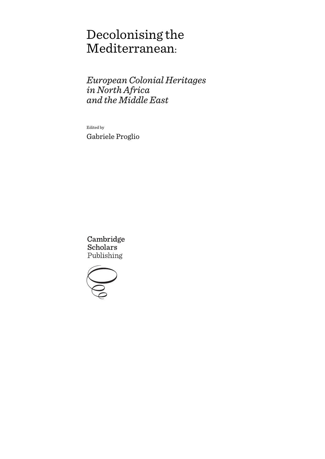# Decolonising the Mediterranean:

*European Colonial Heritages in North Africa and the Middle East*

Edited by Gabriele Proglio

Cambridge **Scholars** Publishing

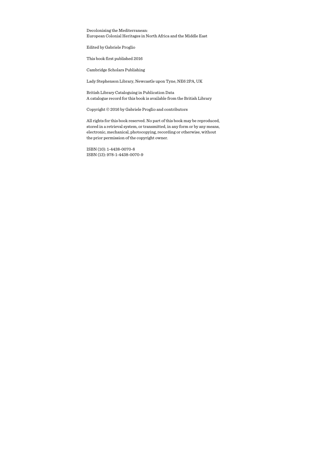Decolonising the Mediterranean: European Colonial Heritages in North Africa and the Middle East

Edited by Gabriele Proglio

This book first published 2016

Cambridge Scholars Publishing

Lady Stephenson Library, Newcastle upon Tyne, NE6 2PA, UK

British Library Cataloguing in Publication Data A catalogue record for this book is available from the British Library

Copyright © 2016 by Gabriele Proglio and contributors

All rights for this book reserved. No part of this book may be reproduced, stored in a retrieval system, or transmitted, in any form or by any means, electronic, mechanical, photocopying, recording or otherwise, without the prior permission of the copyright owner.

ISBN (10): 1-4438-0070-8 ISBN (13): 978-1-4438-0070-9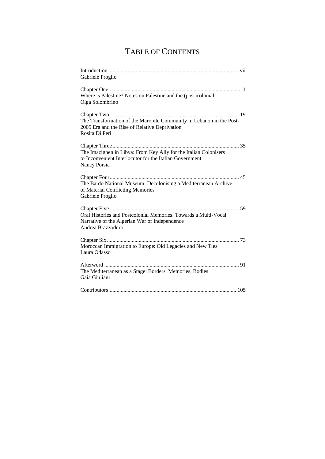# TABLE OF CONTENTS

| Gabriele Proglio                                                                                                                            |
|---------------------------------------------------------------------------------------------------------------------------------------------|
| Where is Palestine? Notes on Palestine and the (post)colonial<br>Olga Solombrino                                                            |
| The Transformation of the Maronite Community in Lebanon in the Post-<br>2005 Era and the Rise of Relative Deprivation<br>Rosita Di Peri     |
| The Imazighen in Libya: From Key Ally for the Italian Colonisers<br>to Inconvenient Interlocutor for the Italian Government<br>Nancy Porsia |
| The Bardo National Museum: Decolonising a Mediterranean Archive<br>of Material Conflicting Memories<br>Gabriele Proglio                     |
| Oral Histories and Postcolonial Memories: Towards a Multi-Vocal<br>Narrative of the Algerian War of Independence<br>Andrea Brazzoduro       |
| Moroccan Immigration to Europe: Old Legacies and New Ties<br>Laura Odasso                                                                   |
| The Mediterranean as a Stage: Borders, Memories, Bodies<br>Gaia Giuliani                                                                    |
|                                                                                                                                             |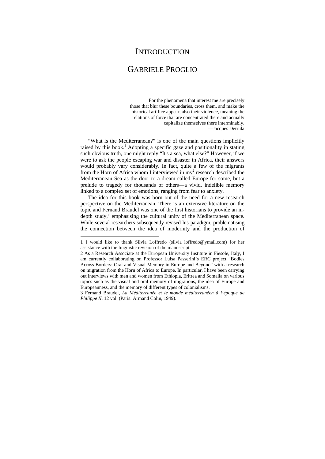### **INTRODUCTION**

## GABRIELE PROGLIO

For the phenomena that interest me are precisely those that blur these boundaries, cross them, and make the historical artifice appear, also their violence, meaning the relations of force that are concentrated there and actually capitalize themselves there interminably. —Jacques Derrida

"What is the Mediterranean?" is one of the main questions implicitly raised by this book.<sup>1</sup> Adopting a specific gaze and positionality in stating such obvious truth, one might reply "It's a sea, what else?" However, if we were to ask the people escaping war and disaster in Africa, their answers would probably vary considerably. In fact, quite a few of the migrants from the Horn of Africa whom I interviewed in  $my<sup>2</sup>$  research described the Mediterranean Sea as the door to a dream called Europe for some, but a prelude to tragedy for thousands of others—a vivid, indelible memory linked to a complex set of emotions, ranging from fear to anxiety.

The idea for this book was born out of the need for a new research perspective on the Mediterranean. There is an extensive literature on the topic and Fernand Braudel was one of the first historians to provide an indepth study, $3$  emphasising the cultural unity of the Mediterranean space. While several researchers subsequently revised his paradigm, problematising the connection between the idea of modernity and the production of

<sup>1</sup> I would like to thank Silvia Loffredo (silvia\_loffredo@ymail.com) for her assistance with the linguistic revision of the manuscript.

<sup>2</sup> As a Research Associate at the European University Institute in Fiesole, Italy, I am currently collaborating on Professor Luisa Passerini's ERC project "Bodies Across Borders: Oral and Visual Memory in Europe and Beyond" with a research on migration from the Horn of Africa to Europe. In particular, I have been carrying out interviews with men and women from Ethiopia, Eritrea and Somalia on various topics such as the visual and oral memory of migrations, the idea of Europe and Europeanness, and the memory of different types of colonialisms.

<sup>3</sup> Fernand Braudel, *La Méditerranée et le monde méditerranéen à l'époque de Philippe II*, 12 vol. (Paris: Armand Colin, 1949).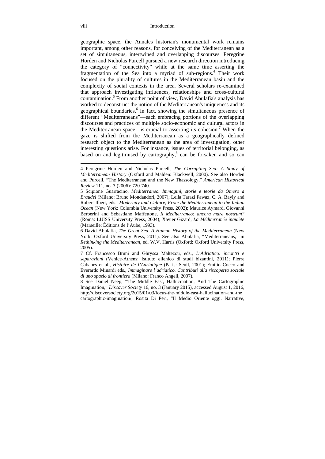#### viii Introduction

geographic space, the Annales historian's monumental work remains important, among other reasons, for conceiving of the Mediterranean as a set of simultaneous, intertwined and overlapping discourses. Peregrine Horden and Nicholas Purcell pursued a new research direction introducing the category of "connectivity" while at the same time asserting the fragmentation of the Sea into a myriad of sub-regions.<sup>4</sup> Their work focused on the plurality of cultures in the Mediterranean basin and the complexity of social contexts in the area. Several scholars re-examined that approach investigating influences, relationships and cross-cultural contamination.<sup>5</sup> From another point of view, David Abulafia's analysis has worked to deconstruct the notion of the Mediterranean's uniqueness and its geographical boundaries.<sup>6</sup> In fact, showing the simultaneous presence of different "Mediterraneans"—each embracing portions of the overlapping discourses and practices of multiple socio-economic and cultural actors in the Mediterranean space—is crucial to asserting its cohesion.<sup>7</sup> When the gaze is shifted from the Mediterranean as a geographically defined research object to the Mediterranean as the area of investigation, other interesting questions arise. For instance, issues of territorial belonging, as based on and legitimised by cartography,<sup>8</sup> can be forsaken and so can

<sup>4</sup> Peregrine Horden and Nicholas Purcell, *The Corrupting Sea: A Study of Mediterranean History* (Oxford and Malden: Blackwell, 2000). See also Horden and Purcell, "The Mediterranean and the New Thassology," *American Historical Review* 111, no. 3 (2006): 720-740.

<sup>5</sup> Scipione Guarracino, *Mediterraneo. Immagini, storie e teorie da Omero a Braudel* (Milano: Bruno Mondandori, 2007); Leila Tarazi Fawaz, C. A. Bayly and Robert Ilbert, eds., *Modernity and Culture, From the Mediterranean to the Indian Ocean* (New York: Columbia University Press, 2002); Maurice Aymard, Giovanni Berberini and Sebastiano Maffettone, *Il Mediterraneo: ancora mare nostrum?* (Roma: LUISS University Press, 2004); Xavier Gizard, *La Méditerranée inquiète* (Marseille: Èditions de l'Aube, 1993).

<sup>6</sup> David Abulafia, *The Great Sea. A Human History of the Mediterranean* (New York: Oxford University Press, 2011). See also Abulafia, "Mediterraneans," in *Rethinking the Mediterranean*, ed. W.V. Harris (Oxford: Oxford University Press, 2005).

<sup>7</sup> Cf. Francesco Bruni and Ghryssa Maltezou, eds., *L'Adriatico: incontri e separazioni* (Venice-Athens: Istituto ellenico di studi bizantini, 2011); Pierre Cabanes et al., *Histoire de l'Adriatique* (Paris: Seuil, 2001); Emilio Cocco and Everardo Minardi eds., *Immaginare l'adriatico. Contributi alla riscoperta sociale di uno spazio di frontiera* (Milano: Franco Angeli, 2007).

<sup>8</sup> See Daniel Neep, "The Middle East, Hallucination, And The Cartographic Imagination," *Discover Society* 16, no. 3 (January 2015), accessed August 1, 2016, http://discoversociety.org/2015/01/03/focus-the-middle-east-hallucination-and-the cartographic-imagination/; Rosita Di Peri, "Il Medio Oriente oggi. Narrative,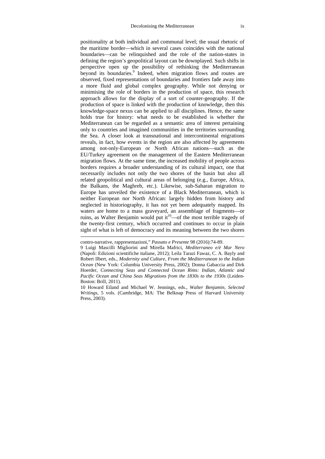positionality at both individual and communal level; the usual rhetoric of the maritime border—which in several cases coincides with the national boundaries—can be relinquished and the role of the nation-states in defining the region's geopolitical layout can be downplayed. Such shifts in perspective open up the possibility of rethinking the Mediterranean beyond its boundaries.<sup>9</sup> Indeed, when migration flows and routes are observed, fixed representations of boundaries and frontiers fade away into a more fluid and global complex geography. While not denying or minimising the role of borders in the production of space, this research approach allows for the display of a sort of counter-geography. If the production of space is linked with the production of knowledge, then this knowledge-space nexus can be applied to all disciplines. Hence, the same holds true for history: what needs to be established is whether the Mediterranean can be regarded as a semantic area of interest pertaining only to countries and imagined communities in the territories surrounding the Sea. A closer look at transnational and intercontinental migrations reveals, in fact, how events in the region are also affected by agreements among not-only-European or North African nations—such as the EU/Turkey agreement on the management of the Eastern Mediterranean migration flows. At the same time, the increased mobility of people across borders requires a broader understanding of its cultural impact, one that necessarily includes not only the two shores of the basin but also all related geopolitical and cultural areas of belonging (e.g., Europe, Africa, the Balkans, the Maghreb, etc.). Likewise, sub-Saharan migration to Europe has unveiled the existence of a Black Mediterranean, which is neither European nor North African: largely hidden from history and neglected in historiography, it has not yet been adequately mapped. Its waters are home to a mass graveyard, an assemblage of fragments—or ruins, as Walter Benjamin would put it<sup>10</sup> $-$ of the most terrible tragedy of the twenty-first century, which occurred and continues to occur in plain sight of what is left of democracy and its meaning between the two shores

contro-narrative, rappresentazioni," *Passato e Presente* 98 (2016):74-89.

<sup>9</sup> Luigi Mascilli Migliorini and Mirella Mafrici, *Mediterraneo e/è Mar Nero* (Napoli: Edizioni scientifiche italiane, 2012); Leila Tarazi Fawaz, C. A. Bayly and Robert Ilbert, eds., *Modernity and Culture, From the Mediterranean to the Indian Ocean* (New York: Columbia University Press, 2002); Donna Gabaccia and Dirk Hoerder, *Connecting Seas and Connected Ocean Rims: Indian, Atlantic and Pacific Ocean and China Seas Migrations from the 1830s to the 1930s* (Leiden-Boston: Brill, 2011).

<sup>10</sup> Howard Eiland and Michael W. Jennings, eds., *Walter Benjamin, Selected Writings*, 5 vols. (Cambridge, MA: The Belknap Press of Harvard University Press, 2003).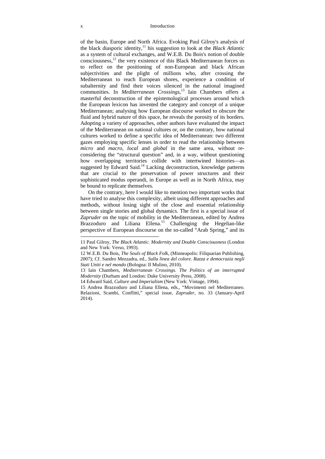#### x Introduction

of the basin, Europe and North Africa. Evoking Paul Gilroy's analysis of the black diasporic identity,11 his suggestion to look at the *Black Atlantic* as a system of cultural exchanges, and W.E.B. Du Bois's notion of double consciousness,12 the very existence of this Black Mediterranean forces us to reflect on the positioning of non-European and black African subjectivities and the plight of millions who, after crossing the Mediterranean to reach European shores, experience a condition of subalternity and find their voices silenced in the national imagined communities. In *Mediterranean Crossings*, 13 Iain Chambers offers a masterful deconstruction of the epistemological processes around which the European lexicon has invented the category and concept of a unique Mediterranean; analysing how European discourse worked to obscure the fluid and hybrid nature of this space, he reveals the porosity of its borders. Adopting a variety of approaches, other authors have evaluated the impact of the Mediterranean on national cultures or, on the contrary, how national cultures worked to define a specific idea of Mediterranean: two different gazes employing specific lenses in order to read the relationship between *micro* and *macro*, *local* and *global* in the same area, without reconsidering the "structural question" and, in a way, without questioning how overlapping territories collide with intertwined histories—as suggested by Edward Said.<sup>14</sup> Lacking deconstruction, knowledge patterns that are crucial to the preservation of power structures and their sophisticated modus operandi, in Europe as well as in North Africa, may be bound to replicate themselves.

On the contrary, here I would like to mention two important works that have tried to analyse this complexity, albeit using different approaches and methods, without losing sight of the close and essential relationship between single stories and global dynamics. The first is a special issue of *Zapruder* on the topic of mobility in the Mediterranean, edited by Andrea Brazzoduro and Liliana Ellena.<sup>15</sup> Challenging the Hegelian-like perspective of European discourse on the so-called "Arab Spring," and its

<sup>11</sup> Paul Gilroy, *The Black Atlantic. Modernity and Double Consciousness* (London and New York: Verso, 1993).

<sup>12</sup> W.E.B. Du Bois, *The Souls of Black Folk*, (Minneapolis: Filiquarian Publishing, 2007); Cf. Sandro Mezzadra, ed., *Sulla linea del colore. Razza e democrazia negli Stati Uniti e nel mondo* (Bologna: Il Mulino, 2010).

<sup>13</sup> Iain Chambers, *Mediterranean Crossings. The Politics of an interrupted Modernity* (Durham and London: Duke University Press, 2008).

<sup>14</sup> Edward Said, *Culture and Imperialism* (New York: Vintage, 1994).

<sup>15</sup> Andrea Brazzoduro and Liliana Ellena, eds., "Movimenti nel Mediterraneo. Relazioni, Scambi, Conflitti," special issue, *Zapruder*, no. 33 (January-April 2014).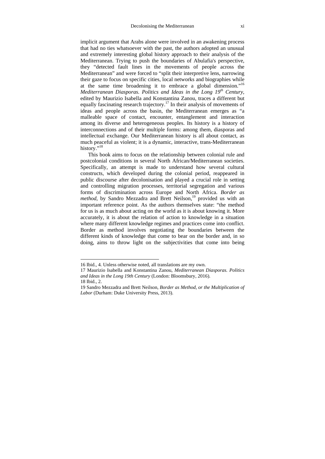implicit argument that Arabs alone were involved in an awakening process that had no ties whatsoever with the past, the authors adopted an unusual and extremely interesting global history approach to their analysis of the Mediterranean. Trying to push the boundaries of Abulafia's perspective, they "detected fault lines in the movements of people across the Mediterranean" and were forced to "split their interpretive lens, narrowing their gaze to focus on specific cities, local networks and biographies while at the same time broadening it to embrace a global dimension."16 *Mediterranean Diasporas. Politics and Ideas in the Long 19th Century*, edited by Maurizio Isabella and Konstantina Zanou, traces a different but equally fascinating research trajectory.17 In their analysis of movements of ideas and people across the basin, the Mediterranean emerges as "a malleable space of contact, encounter, entanglement and interaction among its diverse and heterogeneous peoples. Its history is a history of interconnections and of their multiple forms: among them, diasporas and intellectual exchange. Our Mediterranean history is all about contact, as much peaceful as violent; it is a dynamic, interactive, trans-Mediterranean history."<sup>18</sup>

This book aims to focus on the relationship between colonial rule and postcolonial conditions in several North African/Mediterranean societies. Specifically, an attempt is made to understand how several cultural constructs, which developed during the colonial period, reappeared in public discourse after decolonisation and played a crucial role in setting and controlling migration processes, territorial segregation and various forms of discrimination across Europe and North Africa. *Border as method*, by Sandro Mezzadra and Brett Neilson,<sup>19</sup> provided us with an important reference point. As the authors themselves state: "the method for us is as much about acting on the world as it is about knowing it. More accurately, it is about the relation of action to knowledge in a situation where many different knowledge regimes and practices come into conflict. Border as method involves negotiating the boundaries between the different kinds of knowledge that come to bear on the border and, in so doing, aims to throw light on the subjectivities that come into being

18 Ibid., 2.

<sup>16</sup> Ibid., 4. Unless otherwise noted, all translations are my own.

<sup>17</sup> Maurizio Isabella and Konstantina Zanou, *Mediterranean Diasporas. Politics and Ideas in the Long 19th Century* (London: Bloomsbury, 2016).

<sup>19</sup> Sandro Mezzadra and Brett Neilson, *Border as Method, or the Multiplication of Labor* (Durham: Duke University Press, 2013).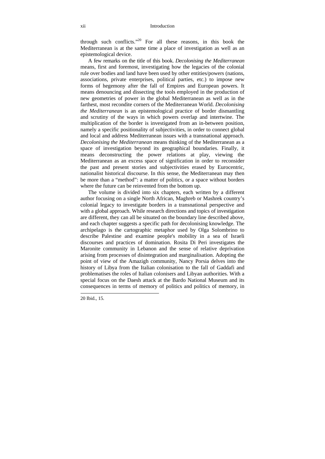through such conflicts."20 For all these reasons, in this book the Mediterranean is at the same time a place of investigation as well as an epistemological device.

A few remarks on the title of this book. *Decolonising the Mediterranean*  means, first and foremost, investigating how the legacies of the colonial rule over bodies and land have been used by other entities/powers (nations, associations, private enterprises, political parties, etc.) to impose new forms of hegemony after the fall of Empires and European powers. It means denouncing and dissecting the tools employed in the production of new geometries of power in the global Mediterranean as well as in the farthest, most recondite corners of the Mediterranean World. *Decolonising the Mediterranean* is an epistemological practice of border dismantling and scrutiny of the ways in which powers overlap and intertwine. The multiplication of the border is investigated from an in-between position, namely a specific positionality of subjectivities, in order to connect global and local and address Mediterranean issues with a transnational approach. *Decolonising the Mediterranean* means thinking of the Mediterranean as a space of investigation beyond its geographical boundaries. Finally, it means deconstructing the power relations at play, viewing the Mediterranean as an excess space of signification in order to reconsider the past and present stories and subjectivities erased by Eurocentric, nationalist historical discourse. In this sense, the Mediterranean may then be more than a "method": a matter of politics, or a space without borders where the future can be reinvented from the bottom up.

The volume is divided into six chapters, each written by a different author focusing on a single North African, Maghreb or Mashrek country's colonial legacy to investigate borders in a transnational perspective and with a global approach. While research directions and topics of investigation are different, they can all be situated on the boundary line described above, and each chapter suggests a specific path for decolonising knowledge. The archipelago is the cartographic metaphor used by Olga Solombrino to describe Palestine and examine people's mobility in a sea of Israeli discourses and practices of domination. Rosita Di Peri investigates the Maronite community in Lebanon and the sense of relative deprivation arising from processes of disintegration and marginalisation. Adopting the point of view of the Amazigh community, Nancy Porsia delves into the history of Libya from the Italian colonisation to the fall of Gaddafi and problematises the roles of Italian colonisers and Libyan authorities. With a special focus on the Daesh attack at the Bardo National Museum and its consequences in terms of memory of politics and politics of memory, in

<sup>20</sup> Ibid., 15.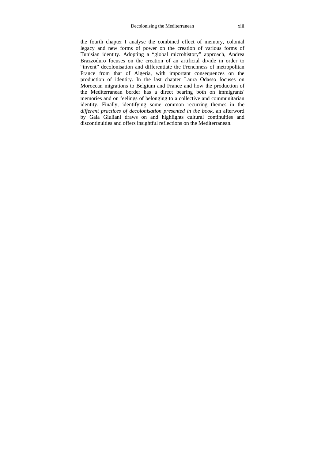the fourth chapter I analyse the combined effect of memory, colonial legacy and new forms of power on the creation of various forms of Tunisian identity. Adopting a "global microhistory" approach, Andrea Brazzoduro focuses on the creation of an artificial divide in order to "invent" decolonisation and differentiate the Frenchness of metropolitan France from that of Algeria, with important consequences on the production of identity. In the last chapter Laura Odasso focuses on Moroccan migrations to Belgium and France and how the production of the Mediterranean border has a direct bearing both on immigrants' memories and on feelings of belonging to a collective and communitarian identity. Finally, identifying some common recurring themes in the *different practices of decolonisation presented in the book,* an afterword by Gaia Giuliani draws on and highlights cultural continuities and discontinuities and offers insightful reflections on the Mediterranean.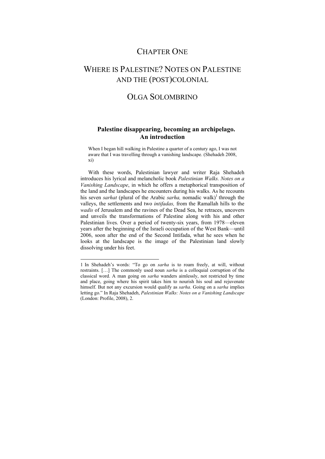### CHAPTER ONE

# WHERE IS PALESTINE? NOTES ON PALESTINE AND THE (POST)COLONIAL

## OLGA SOLOMBRINO

### **Palestine disappearing, becoming an archipelago. An introduction**

When I began hill walking in Palestine a quarter of a century ago, I was not aware that I was travelling through a vanishing landscape. (Shehadeh 2008, xi)

With these words, Palestinian lawyer and writer Raja Shehadeh introduces his lyrical and melancholic book *Palestinian Walks. Notes on a Vanishing Landscape*, in which he offers a metaphorical transposition of the land and the landscapes he encounters during his walks. As he recounts his seven *sarhat* (plural of the Arabic *sarha*, nomadic walk)<sup>1</sup> through the valleys, the settlements and two *intifadas,* from the Ramallah hills to the *wadis* of Jerusalem and the ravines of the Dead Sea, he retraces, uncovers and unveils the transformations of Palestine along with his and other Palestinian lives. Over a period of twenty-six years, from 1978—eleven years after the beginning of the Israeli occupation of the West Bank—until 2006, soon after the end of the Second Intifada, what he sees when he looks at the landscape is the image of the Palestinian land slowly dissolving under his feet.

<sup>1</sup> In Shehadeh's words: "To go on *sarha* is to roam freely, at will, without restraints. […] The commonly used noun *sarha* is a colloquial corruption of the classical word. A man going on *sarha* wanders aimlessly, not restricted by time and place, going where his spirit takes him to nourish his soul and rejuvenate himself. But not any excursion would qualify as *sarha*. Going on a *sarha* implies letting go." In Raja Shehadeh, *Palestinian Walks: Notes on a Vanishing Landscape*  (London: Profile, 2008), 2.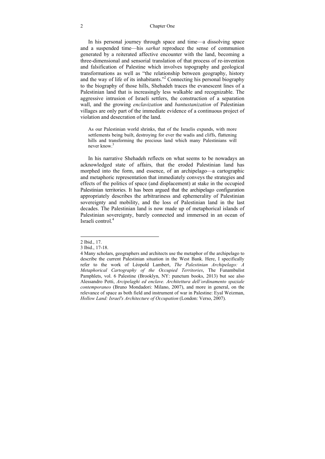#### 2 Chapter One

In his personal journey through space and time—a dissolving space and a suspended time—his *sarhat* reproduce the sense of communion generated by a reiterated affective encounter with the land, becoming a three-dimensional and sensorial translation of that process of re-invention and falsification of Palestine which involves topography and geological transformations as well as "the relationship between geography, history and the way of life of its inhabitants."<sup>2</sup> Connecting his personal biography to the biography of those hills, Shehadeh traces the evanescent lines of a Palestinian land that is increasingly less walkable and recognizable. The aggressive intrusion of Israeli settlers, the construction of a separation wall, and the growing *enclavization* and *bantustanization* of Palestinian villages are only part of the immediate evidence of a continuous project of violation and desecration of the land.

As our Palestinian world shrinks, that of the Israelis expands, with more settlements being built, destroying for ever the wadis and cliffs, flattening hills and transforming the precious land which many Palestinians will never know<sup>3</sup>

In his narrative Shehadeh reflects on what seems to be nowadays an acknowledged state of affairs, that the eroded Palestinian land has morphed into the form, and essence, of an archipelago—a cartographic and metaphoric representation that immediately conveys the strategies and effects of the politics of space (and displacement) at stake in the occupied Palestinian territories. It has been argued that the archipelago configuration appropriately describes the arbitrariness and ephemerality of Palestinian sovereignty and mobility, and the loss of Palestinian land in the last decades. The Palestinian land is now made up of metaphorical islands of Palestinian sovereignty, barely connected and immersed in an ocean of Israeli control<sup>4</sup>

<sup>2</sup> Ibid., 17.

<sup>3</sup> Ibid., 17-18.

<sup>4</sup> Many scholars, geographers and architects use the metaphor of the archipelago to describe the current Palestinian situation in the West Bank. Here, I specifically refer to the work of Léopold Lambert, *The Palestinian Archipelago: A Metaphorical Cartography of the Occupied Territories*, The Funambulist Pamphlets, vol. 6 Palestine (Brooklyn, NY: punctum books, 2013) but see also Alessandro Petti, *Arcipelaghi ed enclave. Architettura dell'ordinamento spaziale contemporaneo* (Bruno Mondadori: Milano, 2007), and more in general, on the relevance of space as both field and instrument of war in Palestine: Eyal Weizman, *Hollow Land: Israel's Architecture of Occupation* (London: Verso, 2007).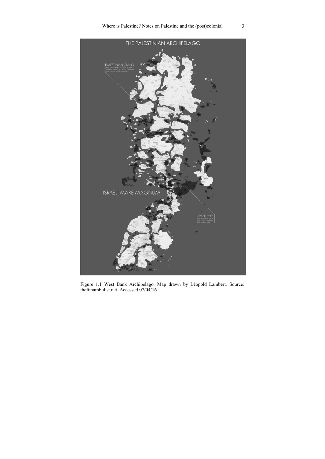

Figure 1.1 West Bank Archipelago. Map drawn by Léopold Lambert. Source: thefunambulist.net. Accessed 07/04/16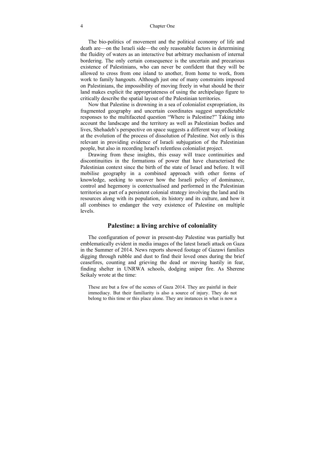#### 4 Chapter One

The bio-politics of movement and the political economy of life and death are—on the Israeli side—the only reasonable factors in determining the fluidity of waters as an interactive but arbitrary mechanism of internal bordering. The only certain consequence is the uncertain and precarious existence of Palestinians, who can never be confident that they will be allowed to cross from one island to another, from home to work, from work to family hangouts. Although just one of many constraints imposed on Palestinians, the impossibility of moving freely in what should be their land makes explicit the appropriateness of using the archipelago figure to critically describe the spatial layout of the Palestinian territories.

Now that Palestine is drowning in a sea of colonialist expropriation, its fragmented geography and uncertain coordinates suggest unpredictable responses to the multifaceted question "Where is Palestine?" Taking into account the landscape and the territory as well as Palestinian bodies and lives, Shehadeh's perspective on space suggests a different way of looking at the evolution of the process of dissolution of Palestine. Not only is this relevant in providing evidence of Israeli subjugation of the Palestinian people, but also in recording Israel's relentless colonialist project.

Drawing from these insights, this essay will trace continuities and discontinuities in the formations of power that have characterised the Palestinian context since the birth of the state of Israel and before. It will mobilise geography in a combined approach with other forms of knowledge, seeking to uncover how the Israeli policy of dominance, control and hegemony is contextualised and performed in the Palestinian territories as part of a persistent colonial strategy involving the land and its resources along with its population, its history and its culture, and how it all combines to endanger the very existence of Palestine on multiple levels.

#### **Palestine: a living archive of coloniality**

The configuration of power in present-day Palestine was partially but emblematically evident in media images of the latest Israeli attack on Gaza in the Summer of 2014. News reports showed footage of Gazawi families digging through rubble and dust to find their loved ones during the brief ceasefires, counting and grieving the dead or moving hastily in fear, finding shelter in UNRWA schools, dodging sniper fire. As Sherene Seikaly wrote at the time:

These are but a few of the scenes of Gaza 2014. They are painful in their immediacy. But their familiarity is also a source of injury. They do not belong to this time or this place alone. They are instances in what is now a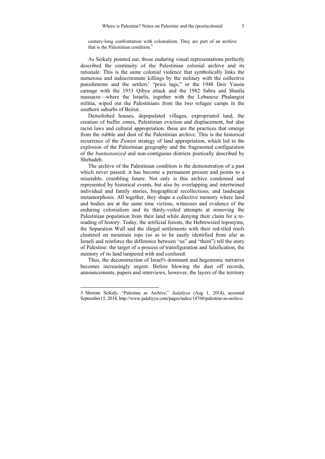century-long confrontation with colonialism. They are part of an archive that is the Palestinian condition.<sup>5</sup>

As Seikaly pointed out, those enduring visual representations perfectly described the continuity of the Palestinian colonial archive and its rationale. This is the same colonial violence that symbolically links the numerous and indiscriminate killings by the military with the collective punishments and the settlers' "price tags," or the 1948 Deir Yassin carnage with the 1953 Qibya attack and the 1982 Sabra and Shatila massacre—where the Israelis, together with the Lebanese Phalangist militia, wiped out the Palestinians from the two refugee camps in the southern suburbs of Beirut.

Demolished houses, depopulated villages, expropriated land, the creation of buffer zones, Palestinian eviction and displacement, but also racist laws and cultural appropriation: these are the practices that emerge from the rubble and dust of the Palestinian archive. This is the historical recurrence of the Zionist strategy of land appropriation, which led to the explosion of the Palestinian geography and the fragmented configuration of the *bantustanized* and non-contiguous districts poetically described by Shehadeh.

The archive of the Palestinian condition is the demonstration of a past which never passed: it has become a permanent present and points to a miserable, crumbling future. Not only is this archive condensed and represented by historical events, but also by overlapping and intertwined individual and family stories, biographical recollections, and landscape metamorphosis. All together, they shape a collective memory where land and bodies are at the same time victims, witnesses and evidence of the enduring colonialism and its thinly-veiled attempts at removing the Palestinian population from their land while denying their claim for a rereading of history. Today, the artificial forests, the Hebrewized toponyms, the Separation Wall and the illegal settlements with their red-tiled roofs clustered on mountain tops (so as to be easily identified from afar as Israeli and reinforce the difference between "us" and "them") tell the story of Palestine: the target of a process of transfiguration and falsification, the memory of its land tampered with and confused.

Thus, the deconstruction of Israel's dominant and hegemonic narrative becomes increasingly urgent. Before blowing the dust off records, announcements, papers and interviews, however, the layers of the territory

<sup>5</sup> Sherene Seikaly, "Palestine as Archive," *Jadaliyya* (Aug 1, 2014), accessed September15, 2014, http://www.jadaliyya.com/pages/index/18760/palestine-as-archive.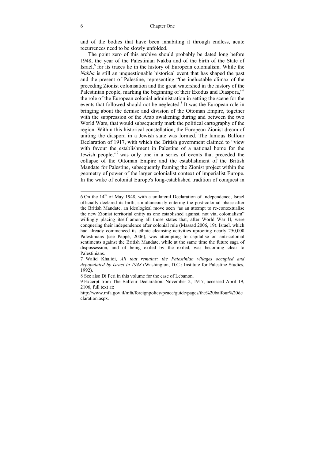and of the bodies that have been inhabiting it through endless, acute recurrences need to be slowly unfolded.

The point zero of this archive should probably be dated long before 1948, the year of the Palestinian Nakba and of the birth of the State of Israel, $6$  for its traces lie in the history of European colonialism. While the *Nakba* is still an unquestionable historical event that has shaped the past and the present of Palestine, representing "the ineluctable climax of the preceding Zionist colonisation and the great watershed in the history of the Palestinian people, marking the beginning of their Exodus and Diaspora,"<sup>7</sup> the role of the European colonial administration in setting the scene for the events that followed should not be neglected.<sup>8</sup> It was the European role in bringing about the demise and division of the Ottoman Empire, together with the suppression of the Arab awakening during and between the two World Wars, that would subsequently mark the political cartography of the region. Within this historical constellation, the European Zionist dream of uniting the diaspora in a Jewish state was formed. The famous Balfour Declaration of 1917, with which the British government claimed to "view with favour the establishment in Palestine of a national home for the Jewish people,"<sup>9</sup> was only one in a series of events that preceded the collapse of the Ottoman Empire and the establishment of the British Mandate for Palestine, subsequently framing the Zionist project within the geometry of power of the larger colonialist context of imperialist Europe. In the wake of colonial Europe's long-established tradition of conquest in

j

<sup>6</sup> On the 14<sup>th</sup> of May 1948, with a unilateral Declaration of Independence, Israel officially declared its birth, simultaneously entering the post-colonial phase after the British Mandate, an ideological move seen "as an attempt to re-contextualise the new Zionist territorial entity as one established against, not via, colonialism" willingly placing itself among all those states that, after World War II, were conquering their independence after colonial rule (Massad 2006, 19). Israel, which had already commenced its ethnic cleansing activities uprooting nearly 250,000 Palestinians (see Pappé, 2006), was attempting to capitalise on anti-colonial sentiments against the British Mandate, while at the same time the future saga of dispossession, and of being exiled by the exiled, was becoming clear to Palestinians.

<sup>7</sup> Walid Khalidi, *All that remains: the Palestinian villages occupied and depopulated by Israel in 1948* (Washington, D.C.: Institute for Palestine Studies, 1992).

<sup>8</sup> See also Di Peri in this volume for the case of Lebanon.

<sup>9</sup> Excerpt from The Balfour Declaration, November 2, 1917, accessed April 19, 2106, full text at:

http://www.mfa.gov.il/mfa/foreignpolicy/peace/guide/pages/the%20balfour%20de claration.aspx.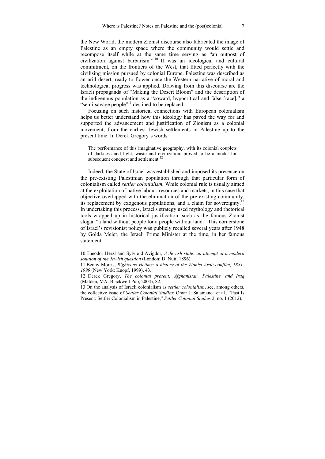the New World, the modern Zionist discourse also fabricated the image of Palestine as an empty space where the community would settle and recompose itself while at the same time serving as "an outpost of civilization against barbarism." 10 It was an ideological and cultural commitment, on the frontiers of the West, that fitted perfectly with the civilising mission pursued by colonial Europe. Palestine was described as an arid desert, ready to flower once the Western narrative of moral and technological progress was applied. Drawing from this discourse are the Israeli propaganda of "Making the Desert Bloom" and the description of the indigenous population as a "coward, hypocritical and false [race]," a "semi-savage people"11 destined to be replaced.

Focusing on such historical connections with European colonialism helps us better understand how this ideology has paved the way for and supported the advancement and justification of Zionism as a colonial movement, from the earliest Jewish settlements in Palestine up to the present time. In Derek Gregory's words:

The performance of this imaginative geography, with its colonial couplets of darkness and light, waste and civilization, proved to be a model for subsequent conquest and settlement.<sup>12</sup>

Indeed, the State of Israel was established and imposed its presence on the pre-existing Palestinian population through that particular form of colonialism called *settler colonialism.* While colonial rule is usually aimed at the exploitation of native labour, resources and markets, in this case that at the exploration of harve about, the elimination of the pre-existing community, its replacement by exogenous populations, and a claim for sovereignty.<sup>1</sup> In undertaking this process, Israel's strategy used mythology and rhetorical tools wrapped up in historical justification, such as the famous Zionist slogan "a land without people for a people without land." This cornerstone of Israel's revisionist policy was publicly recalled several years after 1948 by Golda Meier, the Israeli Prime Minister at the time, in her famous statement:

<sup>10</sup> Theodor Herzl and Sylvie d'Avigdor, *A Jewish state: an attempt at a modern solution of the Jewish question* (London: D. Nutt, 1896).

<sup>11</sup> Benny Morris, *Righteous victims: a history of the Zionist-Arab conflict, 1881- 1999* (New York: Knopf, 1999), 43.

<sup>12</sup> Derek Gregory, *The colonial present: Afghanistan, Palestine, and Iraq* (Malden, MA: Blackwell Pub, 2004), 82.

<sup>13</sup> On the analysis of Israeli colonialism as *settler colonialism*, see, among others, the collective issue of *Settler Colonial Studies*: Omar J. Salamanca et al., "Past Is Present: Settler Colonialism in Palestine," *Settler Colonial Studies* 2, no. 1 (2012).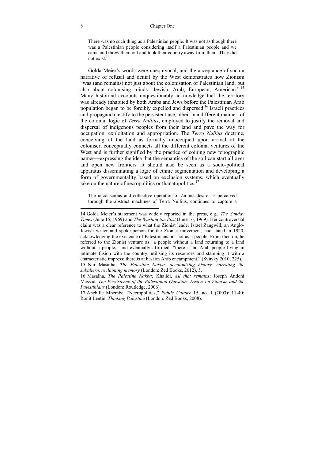There was no such thing as a Palestinian people. It was not as though there was a Palestinian people considering itself a Palestinian people and we came and threw them out and took their country away from them. They did not exist.14

Golda Meier's words were unequivocal, and the acceptance of such a narrative of refusal and denial by the West demonstrates how Zionism "was (and remains) not just about the colonisation of Palestinian land, but also about colonising minds—Jewish, Arab, European, American." <sup>15</sup> Many historical accounts unquestionably acknowledge that the territory was already inhabited by both Arabs and Jews before the Palestinian Arab population began to be forcibly expelled and dispersed.16 Israeli practices and propaganda testify to the persistent use, albeit in a different manner, of the colonial logic of *Terra Nullius*, employed to justify the removal and dispersal of indigenous peoples from their land and pave the way for occupation, exploitation and appropriation. The *Terra Nullius* doctrine, conceiving of the land as formally unoccupied upon arrival of the coloniser, conceptually connects all the different colonial ventures of the West and is further signified by the practice of coining new topographic names—expressing the idea that the semantics of the soil can start all over and open new frontiers. It should also be seen as a socio-political apparatus disseminating a logic of ethnic segmentation and developing a form of governmentality based on exclusion systems, which eventually take on the nature of necropolitics or thanatopolitics.<sup>17</sup>

The unconscious and collective operation of Zionist desire, as perceived through the abstract machines of Terra Nullius, continues to capture a

<sup>14</sup> Golda Meier's statement was widely reported in the press, e.g., *The Sunday Times* (June 15, 1969) and *The Washington Post* (June 16, 1969). Her controversial claim was a clear reference to what the Zionist leader Israel Zangwill, an Anglo-Jewish writer and spokesperson for the Zionist movement, had stated in 1920, acknowledging the existence of Palestinians but not as a people. From then on, he referred to the Zionist venture as "a people without a land returning to a land without a people," and eventually affirmed: "there is no Arab people living in intimate fusion with the country, utilising its resources and stamping it with a characteristic impress: there is at best an Arab encampment." (Svirsky 2010, 225).

<sup>15</sup> Nur Masalha, *The Palestine Nakba: decolonising history, narrating the subaltern, reclaiming memory* (London: Zed Books, 2012), 5.

<sup>16</sup> Masalha, *The Palestine Nakba;* Khalidi, *All that remains*; Joseph Andoni Massad, *The Persistence of the Palestinian Question: Essays on Zionism and the Palestinians* (London: Routledge, 2006).

<sup>17</sup> Anchille Mbembe, "Necropolitics," *Public Culture* 15, no. 1 (2003): 11-40; Ronit Lenṭin, *Thinking Palestine* (London: Zed Books, 2008).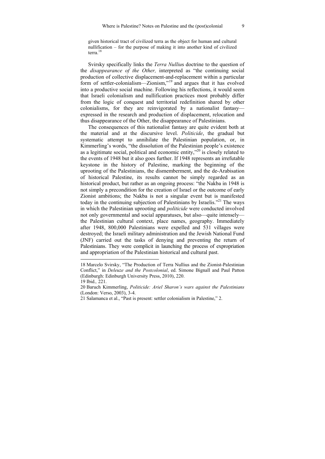given historical tract of civilized terra as the object for human and cultural nullification – for the purpose of making it into another kind of civilized terra.18

Svirsky specifically links the *Terra Nulliu*s doctrine to the question of the *disappearance of the Other,* interpreted as "the continuing social production of collective displacement-and-replacement within a particular form of settler-colonialism—Zionism,"19 and argues that it has evolved into a productive social machine. Following his reflections, it would seem that Israeli colonialism and nullification practices most probably differ from the logic of conquest and territorial redefinition shared by other colonialisms, for they are reinvigorated by a nationalist fantasy expressed in the research and production of displacement, relocation and thus disappearance of the Other, the disappearance of Palestinians.

The consequences of this nationalist fantasy are quite evident both at the material and at the discursive level. *Politicide*, the gradual but systematic attempt to annihilate the Palestinian population, or, in Kimmerling's words, "the dissolution of the Palestinian people's existence as a legitimate social, political and economic entity,"<sup>20</sup> is closely related to the events of 1948 but it also goes further. If 1948 represents an irrefutable keystone in the history of Palestine, marking the beginning of the uprooting of the Palestinians, the dismemberment, and the de-Arabisation of historical Palestine, its results cannot be simply regarded as an historical product, but rather as an ongoing process: "the Nakba in 1948 is not simply a precondition for the creation of Israel or the outcome of early Zionist ambitions; the Nakba is not a singular event but is manifested today in the continuing subjection of Palestinians by Israelis."<sup>21</sup> The ways in which the Palestinian uprooting and *politicide* were conducted involved not only governmental and social apparatuses, but also—quite intensely the Palestinian cultural context, place names, geography. Immediately after 1948, 800,000 Palestinians were expelled and 531 villages were destroyed; the Israeli military administration and the Jewish National Fund (JNF) carried out the tasks of denying and preventing the return of Palestinians. They were complicit in launching the process of expropriation and appropriation of the Palestinian historical and cultural past.

<sup>18</sup> Marcelo Svirsky, "The Production of Terra Nullius and the Zionist-Palestinian Conflict," in *Deleuze and the Postcolonial*, ed. Simone Bignall and Paul Patton (Edinburgh: Edinburgh University Press, 2010), 220.

<sup>19</sup> Ibid.*,* 221.

<sup>20</sup> Baruch Kimmerling, *Politicide: Ariel Sharon's wars against the Palestinians* (London: Verso, 2003), 3-4.

<sup>21</sup> Salamanca et al., "Past is present: settler colonialism in Palestine," 2.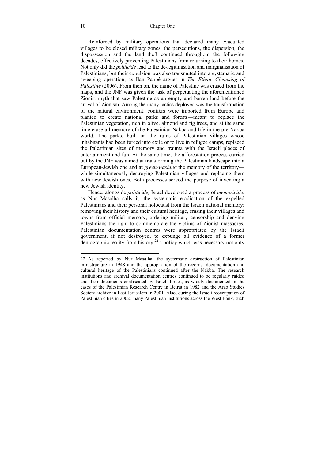Reinforced by military operations that declared many evacuated villages to be closed military zones, the persecutions, the dispersion, the dispossession and the land theft continued throughout the following decades, effectively preventing Palestinians from returning to their homes. Not only did the *politicide* lead to the de-legitimisation and marginalisation of Palestinians, but their expulsion was also transmuted into a systematic and sweeping operation, as Ilan Pappé argues in *The Ethnic Cleansing of Palestine* (2006). From then on, the name of Palestine was erased from the maps, and the JNF was given the task of perpetuating the aforementioned Zionist myth that saw Palestine as an empty and barren land before the arrival of Zionism. Among the many tactics deployed was the transformation of the natural environment: conifers were imported from Europe and planted to create national parks and forests—meant to replace the Palestinian vegetation, rich in olive, almond and fig trees, and at the same time erase all memory of the Palestinian Nakba and life in the pre-Nakba world. The parks, built on the ruins of Palestinian villages whose inhabitants had been forced into exile or to live in refugee camps, replaced the Palestinian sites of memory and trauma with the Israeli places of entertainment and fun. At the same time, the afforestation process carried out by the JNF was aimed at transforming the Palestinian landscape into a European-Jewish one and at *green-washing* the memory of the territory while simultaneously destroying Palestinian villages and replacing them with new Jewish ones. Both processes served the purpose of inventing a new Jewish identity.

Hence, alongside *politicide,* Israel developed a process of *memoricide*, as Nur Masalha calls it*,* the systematic eradication of the expelled Palestinians and their personal holocaust from the Israeli national memory: removing their history and their cultural heritage, erasing their villages and towns from official memory, ordering military censorship and denying Palestinians the right to commemorate the victims of Zionist massacres. Palestinian documentation centres were appropriated by the Israeli government, if not destroyed, to expunge all evidence of a former demographic reality from history, $^{22}$  a policy which was necessary not only

<sup>22</sup> As reported by Nur Masalha, the systematic destruction of Palestinian infrastructure in 1948 and the appropriation of the records, documentation and cultural heritage of the Palestinians continued after the Nakba. The research institutions and archival documentation centres continued to be regularly raided and their documents confiscated by Israeli forces, as widely documented in the cases of the Palestinian Research Centre in Beirut in 1982 and the Arab Studies Society archive in East Jerusalem in 2001. Also, during the Israeli reoccupation of Palestinian cities in 2002, many Palestinian institutions across the West Bank, such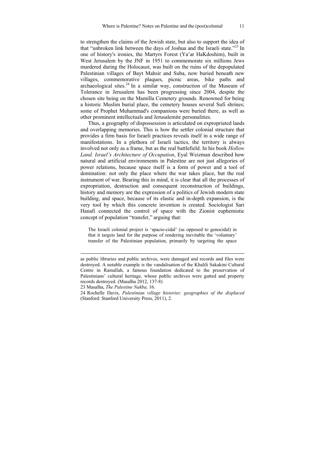to strengthen the claims of the Jewish state, but also to support the idea of that "unbroken link between the days of Joshua and the Israeli state."<sup>23</sup> In one of history's ironies, the Martyrs Forest (Ya'ar HaKdoshim), built in West Jerusalem by the JNF in 1951 to commemorate six millions Jews murdered during the Holocaust, was built on the ruins of the depopulated Palestinian villages of Bayt Mahsir and Suba, now buried beneath new villages, commemorative plaques, picnic areas, bike paths and archaeological sites.<sup>24</sup> In a similar way, construction of the Museum of Tolerance in Jerusalem has been progressing since 2004, despite the chosen site being on the Mamilla Cemetery grounds. Renowned for being a historic Muslim burial place, the cemetery houses several Sufi shrines; some of Prophet Muhammad's companions were buried there, as well as other prominent intellectuals and Jerusalemite personalities.

Thus, a geography of dispossession is articulated on expropriated lands and overlapping memories. This is how the settler colonial structure that provides a firm basis for Israeli practices reveals itself in a wide range of manifestations. In a plethora of Israeli tactics, the territory is always involved not only as a frame, but as the real battlefield. In his book *Hollow Land. Israel's Architecture of Occupation*, Eyal Weizman described how natural and artificial environments in Palestine are not just allegories of power relations, because space itself is a form of power and a tool of domination: not only the place where the war takes place, but the real instrument of war. Bearing this in mind, it is clear that all the processes of expropriation, destruction and consequent reconstruction of buildings, history and memory are the expression of a politics of Jewish modern state building, and space, because of its elastic and in-depth expansion, is the very tool by which this concrete invention is created. Sociologist Sari Hanafi connected the control of space with the Zionist euphemistic concept of population "transfer," arguing that:

The Israeli colonial project is 'spacio-cidal' (as opposed to genocidal) in that it targets land for the purpose of rendering inevitable the 'voluntary' transfer of the Palestinian population, primarily by targeting the space

as public libraries and public archives, were damaged and records and files were destroyed. A notable example is the vandalisation of the Khalili Sakakini Cultural Centre in Ramallah, a famous foundation dedicated to the preservation of Palestinians' cultural heritage, whose public archives were gutted and property records destroyed. (Masalha 2012, 137-8)

<sup>23</sup> Masalha, *The Palestine Nakba,* 16.

<sup>24</sup> Rochelle Davis, *Palestinian village histories: geographies of the displaced* (Stanford: Stanford University Press, 2011), 2.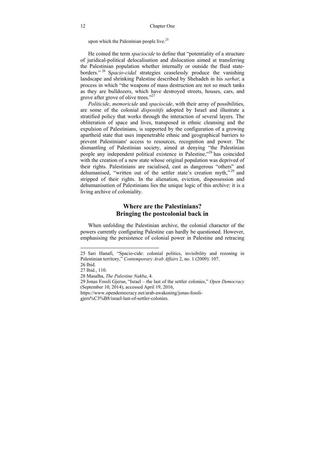upon which the Palestinian people live.<sup>25</sup>

He coined the term *spaciocide* to define that "potentiality of a structure of juridical-political delocalisation and dislocation aimed at transferring the Palestinian population whether internally or outside the fluid stateborders." 26 S*pacio*-*cidal* strategies ceaselessly produce the vanishing landscape and shrinking Palestine described by Shehadeh in his *sarhat*; a process in which "the weapons of mass destruction are not so much tanks as they are bulldozers, which have destroyed streets, houses, cars, and grove after grove of olive trees."<sup>27</sup>

*Politicide*, *memoricide* and *spaciocide*, with their array of possibilities, are some of the colonial *dispositifs* adopted by Israel and illustrate a stratified policy that works through the interaction of several layers. The obliteration of space and lives, transposed in ethnic cleansing and the expulsion of Palestinians, is supported by the configuration of a growing apartheid state that uses impenetrable ethnic and geographical barriers to prevent Palestinians' access to resources, recognition and power. The dismantling of Palestinian society, aimed at denying "the Palestinian people any independent political existence in Palestine,"<sup>28</sup> has coincided with the creation of a new state whose original population was deprived of their rights. Palestinians are racialised, cast as dangerous "others" and dehumanised, "written out of the settler state's creation myth,"<sup>29</sup> and stripped of their rights. In the alienation, eviction, dispossession and dehumanisation of Palestinians lies the unique logic of this archive: it is a living archive of coloniality.

### **Where are the Palestinians? Bringing the postcolonial back in**

When unfolding the Palestinian archive, the colonial character of the powers currently configuring Palestine can hardly be questioned. However, emphasising the persistence of colonial power in Palestine and retracing

-

gjers%C3%B8/israel-last-of-settler-colonies.

<sup>25</sup> Sari Hanafi, "Spacio-cide: colonial politics, invisibility and rezoning in Palestinian territory," *Contemporary Arab Affairs* 2, no. 1 (2009): 107.

<sup>26</sup> Ibid.

<sup>27</sup> Ibid*.*, 110.

<sup>28</sup> Masalha, *The Palestine Nakba*, 4.

<sup>29</sup> Jonas Fossli Gjersø, "Israel – the last of the settler colonies," *Open Democracy*  (September 10, 2014), accessed April 19, 2016,

https://www.opendemocracy.net/arab-awakening/jonas-fossli-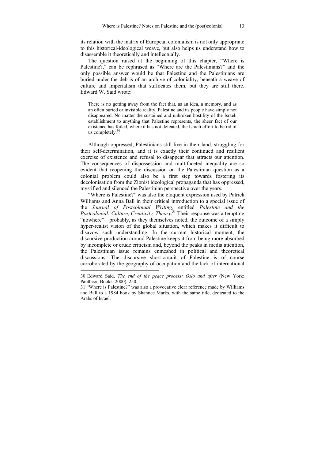its relation with the matrix of European colonialism is not only appropriate to this historical-ideological weave, but also helps us understand how to disassemble it theoretically and intellectually.

The question raised at the beginning of this chapter, "Where is Palestine?," can be rephrased as "Where are the Palestinians?" and the only possible answer would be that Palestine and the Palestinians are buried under the debris of an archive of coloniality, beneath a weave of culture and imperialism that suffocates them, but they are still there. Edward W. Said wrote:

There is no getting away from the fact that, as an idea, a memory, and as an often buried or invisible reality, Palestine and its people have simply not disappeared. No matter the sustained and unbroken hostility of the Israeli establishment to anything that Palestine represents, the sheer fact of our existence has foiled, where it has not defeated, the Israeli effort to be rid of us completely. $30$ 

Although oppressed, Palestinians still live in their land, struggling for their self-determination, and it is exactly their continued and resilient exercise of existence and refusal to disappear that attracts our attention. The consequences of dispossession and multifaceted inequality are so evident that reopening the discussion on the Palestinian question as a colonial problem could also be a first step towards fostering its decolonisation from the Zionist ideological propaganda that has oppressed, mystified and silenced the Palestinian perspective over the years.

"Where is Palestine?" was also the eloquent expression used by Patrick Williams and Anna Ball in their critical introduction to a special issue of the *Journal of Postcolonial Writing,* entitled *Palestine and the Postcolonial: Culture, Creativity, Theory*. 31 Their response was a tempting "nowhere"—probably, as they themselves noted, the outcome of a simply hyper-realist vision of the global situation, which makes it difficult to disavow such understanding. In the current historical moment, the discursive production around Palestine keeps it from being more absorbed by incomplete or crude criticism and, beyond the peaks in media attention, the Palestinian issue remains enmeshed in political and theoretical discussions. The discursive short-circuit of Palestine is of course corroborated by the geography of occupation and the lack of international

<sup>30</sup> Edward Said, *The end of the peace process: Oslo and after* (New York: Pantheon Books, 2000), 250.

<sup>31 &</sup>quot;Where is Palestine?" was also a provocative clear reference made by Williams and Ball to a 1984 book by Shannee Marks, with the same title, dedicated to the Arabs of Israel.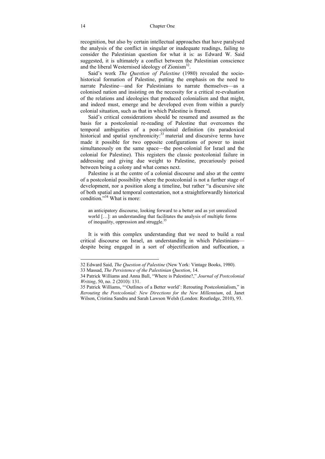recognition, but also by certain intellectual approaches that have paralysed the analysis of the conflict in singular or inadequate readings, failing to consider the Palestinian question for what it is: as Edward W. Said suggested, it is ultimately a conflict between the Palestinian conscience and the liberal Westernised ideology of  $Z$ ionism<sup>32</sup>.

Said's work *The Question of Palestine* (1980) revealed the sociohistorical formation of Palestine, putting the emphasis on the need to narrate Palestine—and for Palestinians to narrate themselves—as a colonised nation and insisting on the necessity for a critical re-evaluation of the relations and ideologies that produced colonialism and that might, and indeed must, emerge and be developed even from within a purely colonial situation, such as that in which Palestine is framed.

Said's critical considerations should be resumed and assumed as the basis for a postcolonial re-reading of Palestine that overcomes the temporal ambiguities of a post-colonial definition (its paradoxical historical and spatial synchronicity:<sup>33</sup> material and discursive terms have made it possible for two opposite configurations of power to insist simultaneously on the same space—the post-colonial for Israel and the colonial for Palestine). This registers the classic postcolonial failure in addressing and giving due weight to Palestine, precariously poised between being a colony and what comes next.

Palestine is at the centre of a colonial discourse and also at the centre of a postcolonial possibility where the postcolonial is not a further stage of development, nor a position along a timeline, but rather "a discursive site of both spatial and temporal contestation, not a straightforwardly historical condition<sup>334</sup> What is more:

an anticipatory discourse, looking forward to a better and as yet unrealized world […]: an understanding that facilitates the analysis of multiple forms of inequality, oppression and struggle.35

It is with this complex understanding that we need to build a real critical discourse on Israel, an understanding in which Palestinians despite being engaged in a sort of objectification and suffocation, a

<sup>32</sup> Edward Said, *The Question of Palestine* (New York: Vintage Books, 1980).

<sup>33</sup> Massad, *The Persistence of the Palestinian Question*, 14.

<sup>34</sup> Patrick Williams and Anna Ball, "Where is Palestine?," *Journal of Postcolonial Writing*, 50, no. 2 (2010): 131.

<sup>35</sup> Patrick Williams, "'Outlines of a Better world': Rerouting Postcolonialism," in *Rerouting the Postcolonial: New Directions for the New Millennium*, ed. Janet Wilson, Cristina Sandru and Sarah Lawson Welsh (London: Routledge, 2010), 93.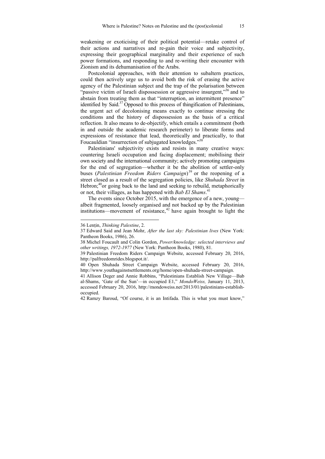weakening or exoticising of their political potential—retake control of their actions and narratives and re-gain their voice and subjectivity, expressing their geographical marginality and their experience of such power formations, and responding to and re-writing their encounter with Zionism and its dehumanisation of the Arabs.

Postcolonial approaches, with their attention to subaltern practices, could then actively urge us to avoid both the risk of erasing the active agency of the Palestinian subject and the trap of the polarisation between "passive victim of Israeli dispossession or aggressive insurgent,"<sup>36</sup> and to abstain from treating them as that "interruption, an intermittent presence" identified by Said. $37$  Opposed to this process of thingification of Palestinians, the urgent act of decolonising means exactly to continue stressing the conditions and the history of dispossession as the basis of a critical reflection. It also means to de-objectify, which entails a commitment (both in and outside the academic research perimeter) to liberate forms and expressions of resistance that lead, theoretically and practically, to that Foucauldian "insurrection of subjugated knowledges."<sup>38</sup>

Palestinians' subjectivity exists and resists in many creative ways: countering Israeli occupation and facing displacement; mobilising their own society and the international community; actively promoting campaigns for the end of segregation—whether it be the abolition of settler-only buses (*Palestinian Freedom Riders Campaign*) 39 or the reopening of a street closed as a result of the segregation policies, like *Shuhada Street* in Hebron; $40$ <sub>or</sub> going back to the land and seeking to rebuild, metaphorically or not, their villages, as has happened with *Bab El Shams*. 41

The events since October 2015, with the emergence of a new, young albeit fragmented, loosely organised and not backed up by the Palestinian institutions—movement of resistance, $42$  have again brought to light the

-

42 Ramzy Baroud, "Of course, it is an Intifada. This is what you must know,"

<sup>36</sup> Lenṭin, *Thinking Palestine*, 2.

<sup>37</sup> Edward Said and Jean Mohr, *After the last sky: Palestinian lives* (New York: Pantheon Books, 1986), 26.

<sup>38</sup> Michel Foucault and Colin Gordon, *Power/knowledge: selected interviews and other writings, 1972-1977* (New York: Pantheon Books, 1980), 81.

<sup>39</sup> Palestinian Freedom Riders Campaign Website, accessed February 20, 2016, http://palfreedomrides.blogspot.it/.

<sup>40</sup> Open Shuhada Street Campaign Website, accessed February 20, 2016, http://www.youthagainstsettlements.org/home/open-shuhada-street-campaign.

<sup>41</sup> Allison Deger and Annie Robbins, "Palestinians Establish New Village—Bab al-Shams, 'Gate of the Sun'—in occupied E1," *MondoWeiss,* January 11, 2013, accessed February 20, 2016, http://mondoweiss.net/2013/01/palestinians-establishoccupied.